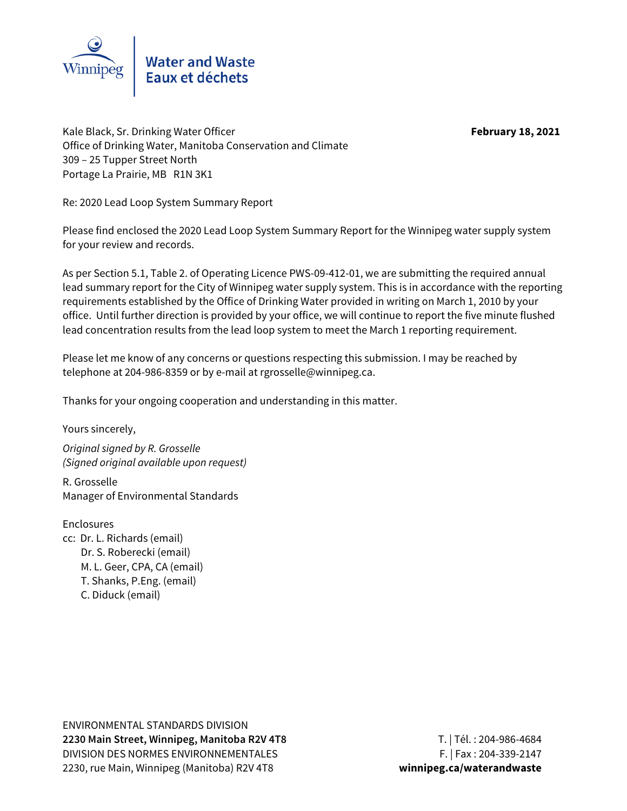

Kale Black, Sr. Drinking Water Officer **February 18, 2021** Office of Drinking Water, Manitoba Conservation and Climate 309 – 25 Tupper Street North Portage La Prairie, MB R1N 3K1

Re: 2020 Lead Loop System Summary Report

Please find enclosed the 2020 Lead Loop System Summary Report for the Winnipeg water supply system for your review and records.

As per Section 5.1, Table 2. of Operating Licence PWS-09-412-01, we are submitting the required annual lead summary report for the City of Winnipeg water supply system. This is in accordance with the reporting requirements established by the Office of Drinking Water provided in writing on March 1, 2010 by your office. Until further direction is provided by your office, we will continue to report the five minute flushed lead concentration results from the lead loop system to meet the March 1 reporting requirement.

Please let me know of any concerns or questions respecting this submission. I may be reached by telephone at 204-986-8359 or by e-mail at rgrosselle@winnipeg.ca.

Thanks for your ongoing cooperation and understanding in this matter.

Yours sincerely,

Original signed by R. Grosselle (Signed original available upon request)

R. Grosselle Manager of Environmental Standards

**Enclosures** cc: Dr. L. Richards (email) Dr. S. Roberecki (email) M. L. Geer, CPA, CA (email) T. Shanks, P.Eng. (email) C. Diduck (email)